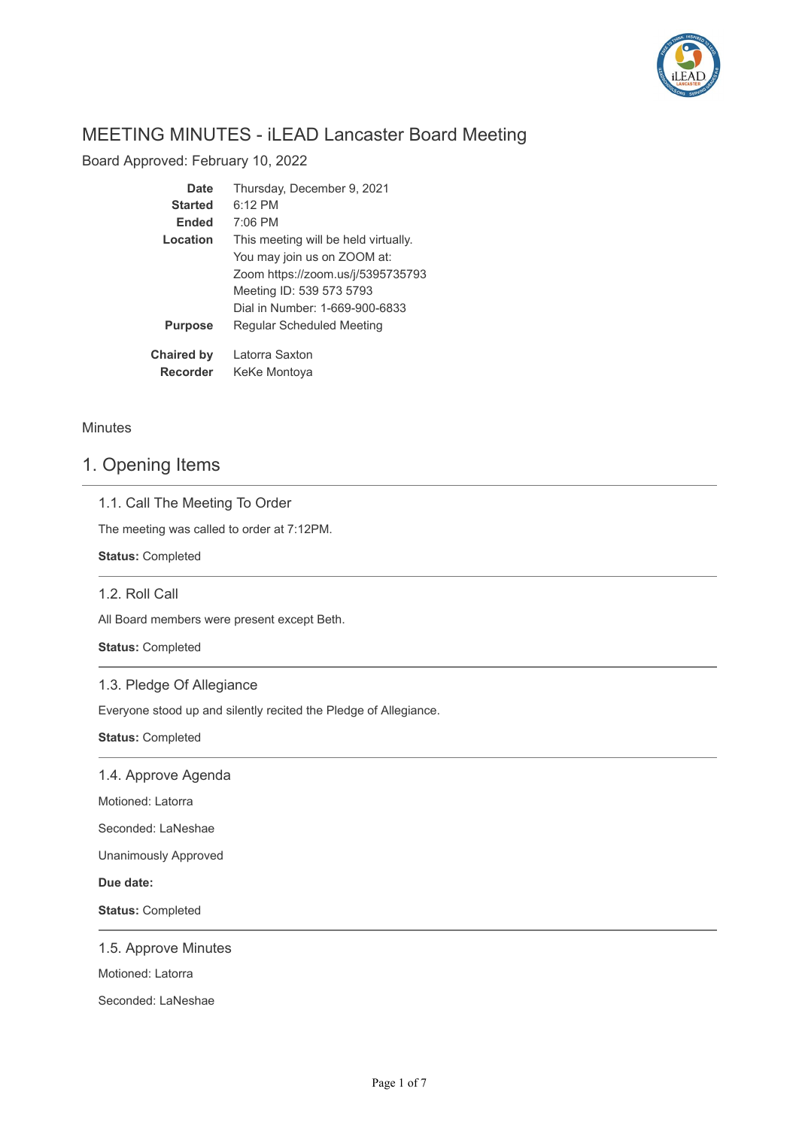

# MEETING MINUTES - iLEAD Lancaster Board Meeting

Board Approved: February 10, 2022

| Date              | Thursday, December 9, 2021           |
|-------------------|--------------------------------------|
| <b>Started</b>    | $6:12$ PM                            |
| <b>Ended</b>      | $7:06$ PM                            |
| Location          | This meeting will be held virtually. |
|                   | You may join us on ZOOM at:          |
|                   | Zoom https://zoom.us/j/5395735793    |
|                   | Meeting ID: 539 573 5793             |
|                   | Dial in Number: 1-669-900-6833       |
| <b>Purpose</b>    | Regular Scheduled Meeting            |
| <b>Chaired by</b> | Latorra Saxton                       |
| Recorder          | KeKe Montoya                         |

## **Minutes**

## 1. Opening Items

## 1.1. Call The Meeting To Order

The meeting was called to order at 7:12PM.

**Status:** Completed

## 1.2. Roll Call

All Board members were present except Beth.

**Status:** Completed

## 1.3. Pledge Of Allegiance

Everyone stood up and silently recited the Pledge of Allegiance.

**Status:** Completed

1.4. Approve Agenda

Motioned: Latorra

Seconded: LaNeshae

Unanimously Approved

**Due date:**

**Status:** Completed

### 1.5. Approve Minutes

Motioned: Latorra

Seconded: LaNeshae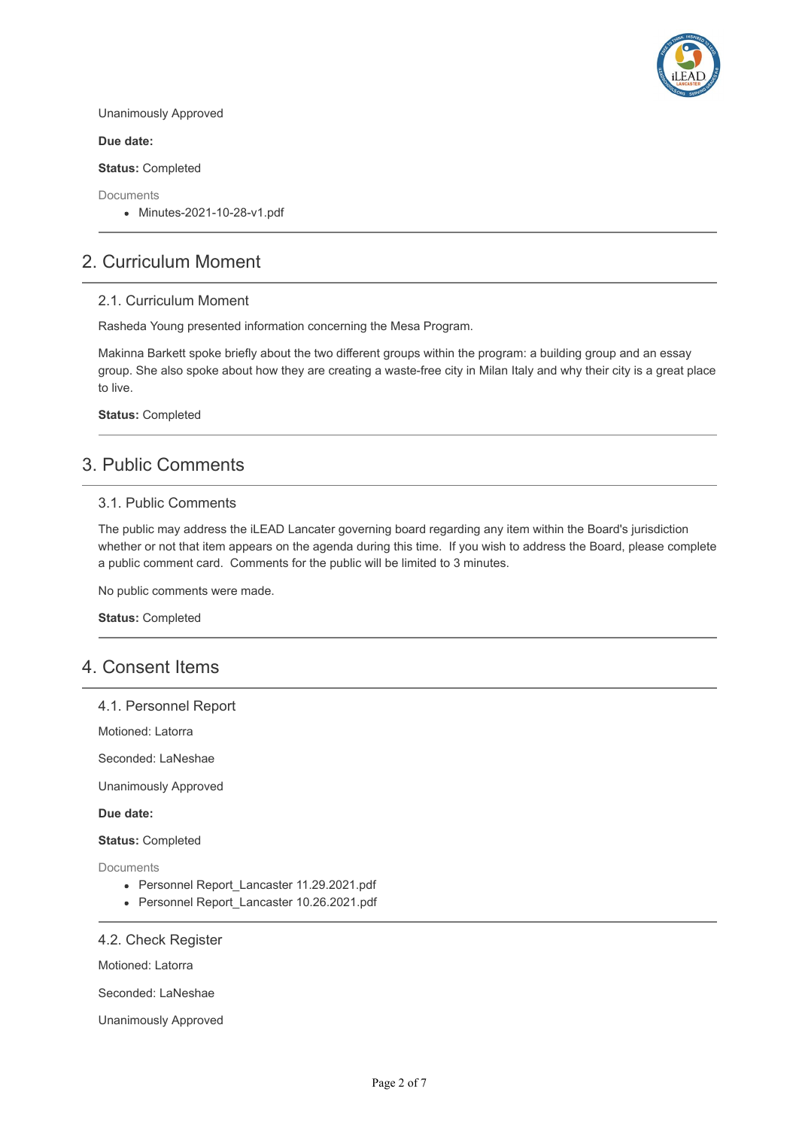

Unanimously Approved

**Due date:**

**Status:** Completed

Documents

Minutes-2021-10-28-v1.pdf

## 2. Curriculum Moment

#### 2.1. Curriculum Moment

Rasheda Young presented information concerning the Mesa Program.

Makinna Barkett spoke briefly about the two different groups within the program: a building group and an essay group. She also spoke about how they are creating a waste-free city in Milan Italy and why their city is a great place to live.

**Status:** Completed

## 3. Public Comments

### 3.1. Public Comments

The public may address the iLEAD Lancater governing board regarding any item within the Board's jurisdiction whether or not that item appears on the agenda during this time. If you wish to address the Board, please complete a public comment card. Comments for the public will be limited to 3 minutes.

No public comments were made.

**Status:** Completed

## 4. Consent Items

#### 4.1. Personnel Report

Motioned: Latorra

Seconded: LaNeshae

Unanimously Approved

**Due date:**

**Status:** Completed

Documents

- Personnel Report\_Lancaster 11.29.2021.pdf
- Personnel Report Lancaster 10.26.2021.pdf

#### 4.2. Check Register

Motioned: Latorra

Seconded: LaNeshae

Unanimously Approved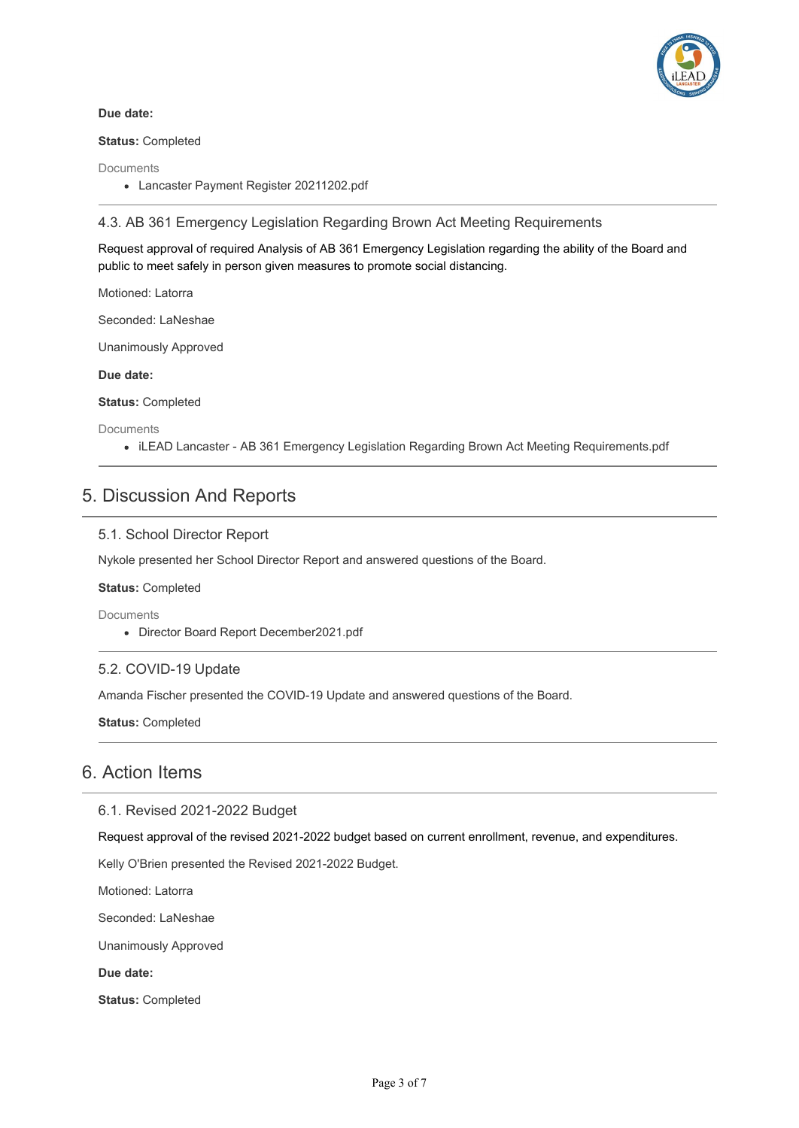

#### **Due date:**

**Status:** Completed

Documents

Lancaster Payment Register 20211202.pdf

## 4.3. AB 361 Emergency Legislation Regarding Brown Act Meeting Requirements

Request approval of required Analysis of AB 361 Emergency Legislation regarding the ability of the Board and public to meet safely in person given measures to promote social distancing.

Motioned: Latorra

Seconded: LaNeshae

Unanimously Approved

## **Due date:**

**Status:** Completed

**Documents** 

iLEAD Lancaster - AB 361 Emergency Legislation Regarding Brown Act Meeting Requirements.pdf

## 5. Discussion And Reports

## 5.1. School Director Report

Nykole presented her School Director Report and answered questions of the Board.

#### **Status:** Completed

Documents

Director Board Report December2021.pdf

#### 5.2. COVID-19 Update

Amanda Fischer presented the COVID-19 Update and answered questions of the Board.

**Status:** Completed

## 6. Action Items

6.1. Revised 2021-2022 Budget

Request approval of the revised 2021-2022 budget based on current enrollment, revenue, and expenditures.

Kelly O'Brien presented the Revised 2021-2022 Budget.

Motioned: Latorra

Seconded: LaNeshae

Unanimously Approved

**Due date:**

**Status:** Completed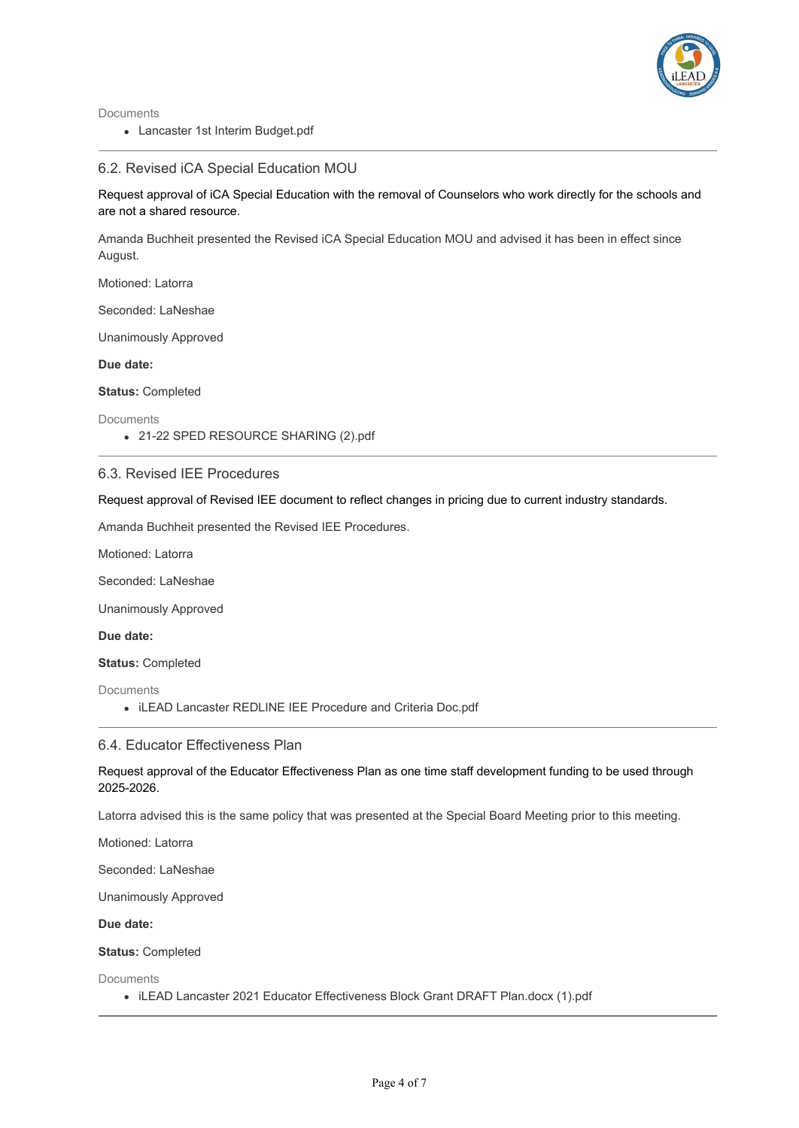

Documents

Lancaster 1st Interim Budget.pdf

### 6.2. Revised iCA Special Education MOU

Request approval of iCA Special Education with the removal of Counselors who work directly for the schools and are not a shared resource.

Amanda Buchheit presented the Revised iCA Special Education MOU and advised it has been in effect since August.

Motioned: Latorra

Seconded: LaNeshae

Unanimously Approved

**Due date:**

**Status:** Completed

Documents

21-22 SPED RESOURCE SHARING (2).pdf

#### 6.3. Revised IEE Procedures

Request approval of Revised IEE document to reflect changes in pricing due to current industry standards.

Amanda Buchheit presented the Revised IEE Procedures.

Motioned: Latorra

Seconded: LaNeshae

Unanimously Approved

**Due date:**

**Status:** Completed

**Documents** 

iLEAD Lancaster REDLINE IEE Procedure and Criteria Doc.pdf

#### 6.4. Educator Effectiveness Plan

Request approval of the Educator Effectiveness Plan as one time staff development funding to be used through 2025-2026.

Latorra advised this is the same policy that was presented at the Special Board Meeting prior to this meeting.

Motioned: Latorra

Seconded: LaNeshae

Unanimously Approved

**Due date:**

**Status:** Completed

Documents

iLEAD Lancaster 2021 Educator Effectiveness Block Grant DRAFT Plan.docx (1).pdf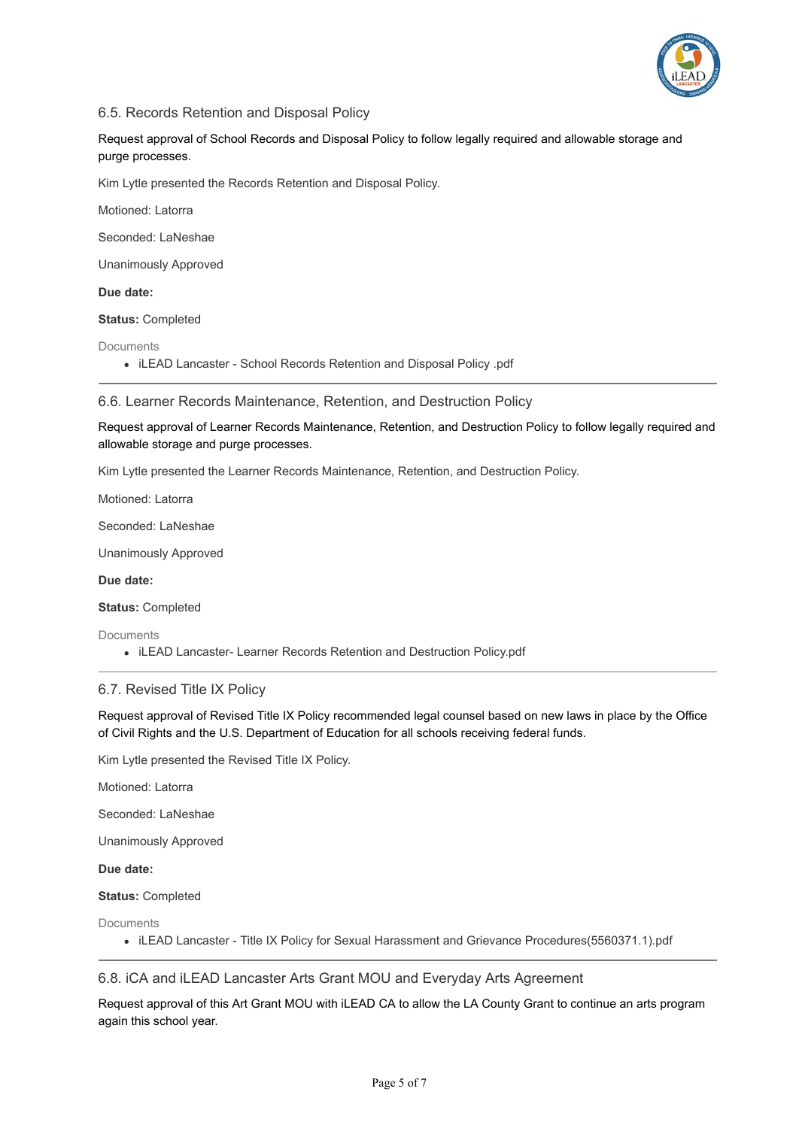

## 6.5. Records Retention and Disposal Policy

Request approval of School Records and Disposal Policy to follow legally required and allowable storage and purge processes.

Kim Lytle presented the Records Retention and Disposal Policy.

Motioned: Latorra

Seconded: LaNeshae

Unanimously Approved

**Due date:**

**Status:** Completed

Documents

• iLEAD Lancaster - School Records Retention and Disposal Policy .pdf

6.6. Learner Records Maintenance, Retention, and Destruction Policy

Request approval of Learner Records Maintenance, Retention, and Destruction Policy to follow legally required and allowable storage and purge processes.

Kim Lytle presented the Learner Records Maintenance, Retention, and Destruction Policy.

Motioned: Latorra

Seconded: LaNeshae

Unanimously Approved

**Due date:**

**Status:** Completed

**Documents** 

• iLEAD Lancaster- Learner Records Retention and Destruction Policy.pdf

#### 6.7. Revised Title IX Policy

Request approval of Revised Title IX Policy recommended legal counsel based on new laws in place by the Office of Civil Rights and the U.S. Department of Education for all schools receiving federal funds.

Kim Lytle presented the Revised Title IX Policy.

Motioned: Latorra

Seconded: LaNeshae

Unanimously Approved

**Due date:**

**Status:** Completed

**Documents** 

iLEAD Lancaster - Title IX Policy for Sexual Harassment and Grievance Procedures(5560371.1).pdf

## 6.8. iCA and iLEAD Lancaster Arts Grant MOU and Everyday Arts Agreement

Request approval of this Art Grant MOU with iLEAD CA to allow the LA County Grant to continue an arts program again this school year.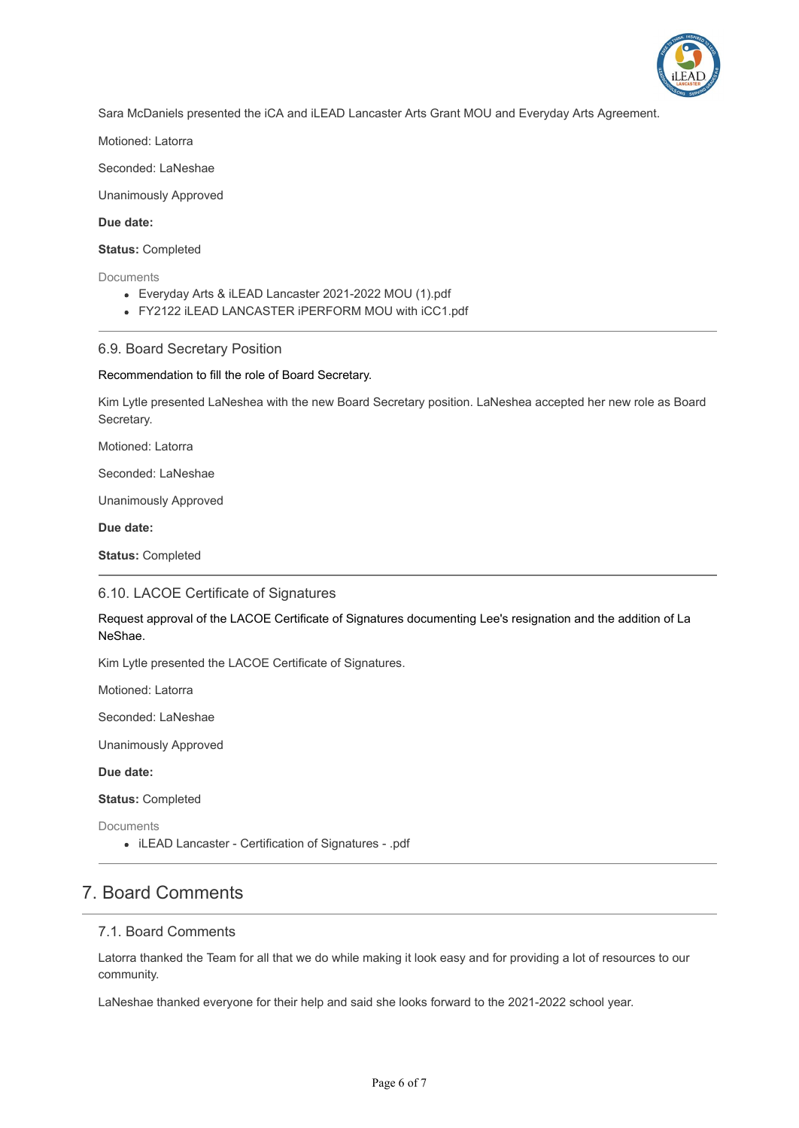

Sara McDaniels presented the iCA and iLEAD Lancaster Arts Grant MOU and Everyday Arts Agreement.

Motioned: Latorra

Seconded: LaNeshae

Unanimously Approved

**Due date:**

**Status:** Completed

**Documents** 

- Everyday Arts & iLEAD Lancaster 2021-2022 MOU (1).pdf
- FY2122 iLEAD LANCASTER iPERFORM MOU with iCC1.pdf

#### 6.9. Board Secretary Position

Recommendation to fill the role of Board Secretary.

Kim Lytle presented LaNeshea with the new Board Secretary position. LaNeshea accepted her new role as Board Secretary.

Motioned: Latorra

Seconded: LaNeshae

Unanimously Approved

**Due date:**

**Status:** Completed

#### 6.10. LACOE Certificate of Signatures

Request approval of the LACOE Certificate of Signatures documenting Lee's resignation and the addition of La NeShae.

Kim Lytle presented the LACOE Certificate of Signatures.

Motioned: Latorra

Seconded: LaNeshae

Unanimously Approved

**Due date:**

**Status:** Completed

Documents

iLEAD Lancaster - Certification of Signatures - .pdf

## 7. Board Comments

#### 7.1. Board Comments

Latorra thanked the Team for all that we do while making it look easy and for providing a lot of resources to our community.

LaNeshae thanked everyone for their help and said she looks forward to the 2021-2022 school year.